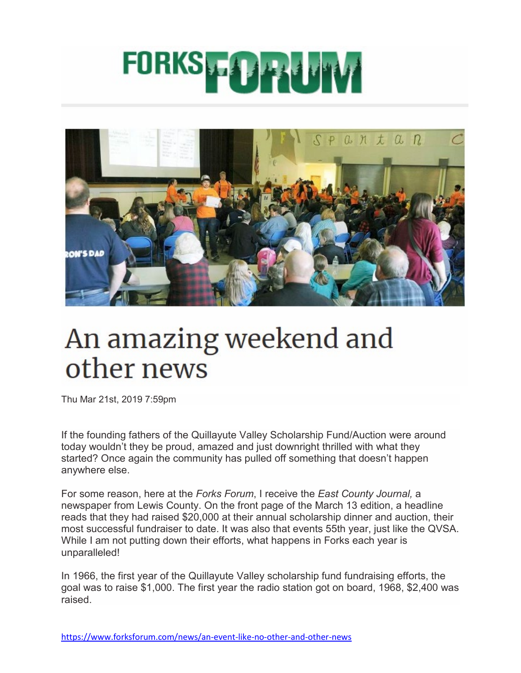## FORKS PO HUTV



## An amazing weekend and other news

Thu Mar 21st, 2019 7:59pm

If the founding fathers of the Quillayute Valley Scholarship Fund/Auction were around today wouldn't they be proud, amazed and just downright thrilled with what they started? Once again the community has pulled off something that doesn't happen anywhere else.

For some reason, here at the *Forks Forum*, I receive the *East County Journal,* a newspaper from Lewis County. On the front page of the March 13 edition, a headline reads that they had raised \$20,000 at their annual scholarship dinner and auction, their most successful fundraiser to date. It was also that events 55th year, just like the QVSA. While I am not putting down their efforts, what happens in Forks each year is unparalleled!

In 1966, the first year of the Quillayute Valley scholarship fund fundraising efforts, the goal was to raise \$1,000. The first year the radio station got on board, 1968, \$2,400 was raised.